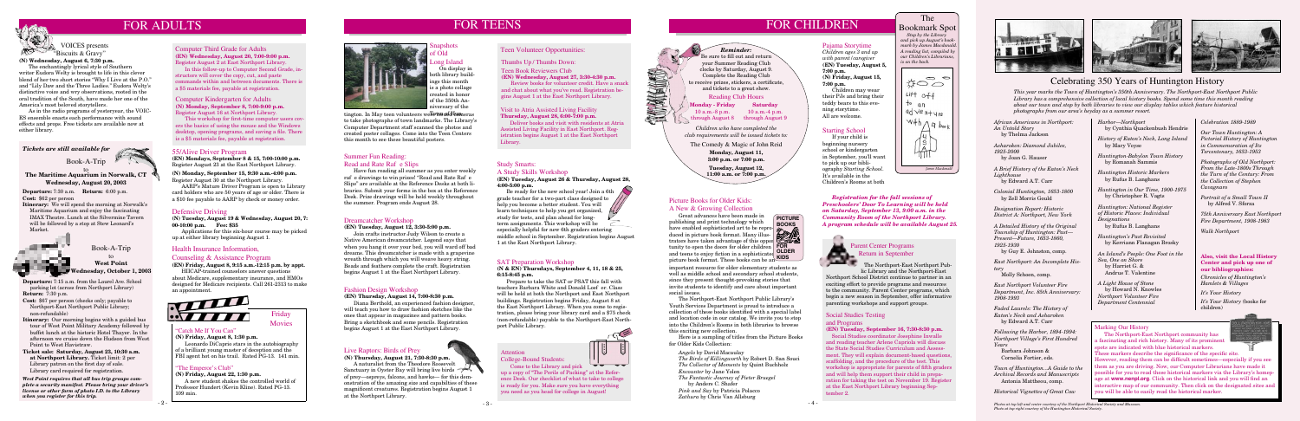#### Health Insurance Information,

#### Counseling & Assistance Program

**(EN) Friday, August 8, 9:15 a.m.-12:15 p.m. by appt.**

HIICAP-trained counselors answer questions about Medicare, supplementary insurance, and HMOs designed for Medicare recipients. Call 261-2313 to make an appointment.



**Departure:** 7:15 a.m. from the Laurel Ave. School parking lot (across from Northport Library) **Return:** 7:30 p.m.

- **Cost:** \$67 per person (checks only; payable to Northport-East Northport Public Library; non-refundable)
- **Itinerary:** Our morning begins with a guided bus tour of West Point Military Academy followed by buffet lunch at the historic Hotel Thayer. In the afternoon we cruise down the Hudson from West Point to West Havistraw.
- **Ticket sale: Saturday, August 23, 10:30 a.m. at Northport Library.** Ticket limit: 2 per Library patron on the first day of sale. Library card required for registration.



#### Defensive Driving

**(N) Tuesday, August 19 & Wednesday, August 20, 7: 00-10:00 p.m. Fee: \$35** 

 Applications for this six-hour course may be picked up at either library beginning August 1.

#### Teen Volunteer Opportunities:

Thumbs Up / Thumbs Down:

Be ready for the new school year! Join a 6th grade teacher for a two-part class designed to help you become a better student. You will learn techniques to help you get organized, study for tests, and plan ahead for longterm assignments. This workshop will be especially helpful for new 6th graders entering

Teen Book Reviewers Club

**(EN) Wednesday, August 27, 3:30-4:30 p.m.** Review books for volunteer credit. Have a snack and chat about what you've read. Registration begins August 1 at the East Northport Library.

#### Visit to Atria Assisted Living Facility **Thursday, August 28, 6:00-7:00 p.m.**

#### Summer Fun Reading: Read and Rate Rafe Slips

Deliver books and visit with residents at Atria Assisted Living Facility in East Northport. Registration begins August 1 at the East Northport Library.

#### Dreamcatcher Workshop

**(EN) Tuesday, August 12, 3:30-5:00 p.m.**



# **VOICES** presents "Biscuits & Gravy"

 Join crafts instructor Judy Wilson to create a Native American dreamcatcher. Legend says that when you hang it over your bed, you will ward off bad dreams. This dreamcatcher is made with a grapevine wreath through which you will weave heavy string. Beads and feathers complete the craft. Registration begins August 1 at the East Northport Library.

#### Study Smarts: A Study Skills Workshop

**(EN) Tuesday, August 26 & Thursday, August 28, 4:00-5:00 p.m.**

*Stop by the Library and pick up August's bookmark by James Macdonald. A reading list, compiled by our Children's Librarians,* 

 $\circ$  $\frac{1}{20}$  $Lift$  off  $\frac{1}{2}$  an  $\frac{q\sqrt{e}}{n+y\sqrt{e}}$  $W^{\#h} \wedge^{Hh}$ *James Macdonald*

middle school in September. Registration begins August 1 at the East Northport Library.

#### SAT Preparation Workshop

#### **(N & EN) Thursdays, September 4, 11, 18 & 25, 6:15-8:45 p.m.**

 Prepare to take the SAT or PSAT this fall with teachers Barbara White and Donald Loef er. Class will be held at both the Northport and East Northport buildings. Registration begins Friday, August 8 at the East Northport Library. When you come to registration, please bring your library card and a \$75 check (non-refundable) payable to the Northport-East Northport Public Library.

 Have fun reading all summer as you enter weekly rafeld drawings to win prizes! "Read and Rate Rafeld" Slips" are available at the Reference Desks at both libraries. Submit your forms in the box at the Reference Desk. Prize drawings will be held weekly throughout the summer. Program ends August 28.

> Great advances have been made in publishing and print technology which have enabled sophisticated art to be reproduced in picture book format. Many illustrators have taken advantage of this opportunity to open the doors for older children **FOR**  and teens to enjoy fiction in a sophisticated **OLDER** picture book format. These books can be an **KIDS PICTURE**<br>BOOKS BOOKS\_

#### Computer Third Grade for Adults **(EN) Wednesday, August 20, 7:00-9:00 p.m.** Register August 2 at East Northport Library.

In this follow-up to Computer Second Grade, instructors will cover the copy, cut, and paste commands within and between documents. There is a \$5 materials fee, payable at registration.

**(N) Wednesday, August 6, 7:30 p.m.**

 The enchantingly lyrical style of Southern writer Eudora Welty is brought to life in this clever blend of her two short stories "Why I Live at the P.O." and "Lily Daw and the Three Ladies." Eudora Welty's distinctive voice and wry observations, rooted in the oral tradition of the South, have made her one of the America's most beloved storytellers.

 As in the radio programs of yesteryear, the VOIC-ES ensemble enacts each performance with sound effects and props. Free tickets are available now at either library.

# Parent Center Programs Return in September<br>The Northport-East l

*is on the back.*

The Bookmark Spot

*West Point requires that all bus trip groups complete a security manifest. Please bring your driver's license or other form of photo I.D. to the Library when you register for this trip.* 

#### Computer Kindergarten for Adults **(N) Monday, September 8, 7:00-9:00 p.m.** Register August 16 at Northport Library.

This workshop for first-time computer users covers the basics of using the mouse and the Windows desktop, opening programs, and saving a file. There is a \$5 materials fee, payable at registration.

#### Fashion Design Workshop

**(EN) Thursday, August 14, 7:00-8:30 p.m.** Diana Berthold, an experienced fashion designer, will teach you how to draw fashion sketches like the ones that appear in magazines and pattern books. Bring a sketchbook and some pencils. Registration begins August 1 at the East Northport Library.

# Live Raptors: Birds of Prey

**(N) Thursday, August 21, 7:30-8:30 p.m.** A naturalist from the Theodore Roosevelt Sanctuary in Oyster Bay will bring live birds of prey—ospreys, falcons, and hawks— for this demonstration of the amazing size and capabilties of these magnificent creatures. Registration begins August 1 at the Northport Library.

*Children who have completed the club requirements will be issued tickets to:* 

> **Monday, August 11, 3:00 p.m. or 7:00 p.m.**

**Tuesday, August 12, 11:00 a.m. or 7:00 p.m.**

#### Pajama Storytime

*Children ages 3 and up with parent/caregiver* **(EN) Tuesday, August 5, 7:00 p.m. (N) Friday, August 15, 7:00 p.m.**

 Children may wear their PJs and bring their teddy bears to this evening storytime. All are welcome.

 *Registration for the fall sessions of Preschoolers' Door To Learning will be held on Saturday, September 13, 9:00 a.m. in the Community Room of the Northport Library. A program schedule will be available August 25.* 



#### Social Studies Testing

#### and Programs

#### **(EN) Tuesday, September 16, 7:30-8:30 p.m.**

 Social Studies coordinator Josephine Inwalle and reading teacher Arlene Capriola will discuss the State Social Studies Curriculum and Assessment. They will explain document-based questions, scaffolding, and the procedure of the test. This workshop is appropriate for parents of fifth graders and will help them support their child in preparation for taking the test on November 19. Register at the East Northport Library beginning September 2.

#### Picture Books for Older Kids:

#### A New & Growing Collection

tington. In May teen volunteers were issued temeras to take photographs of town landmarks. The Library's Computer Department staff scanned the photos and created poster collages. Come into the Teen Centers this month to see these beautiful posters.



 The Northport-East Northport Public Library's Youth Services Department is proud to introduce a collection of these books identified with a special label and location code in our catalog. We invite you to stop into the Children's Rooms in both libraries to browse this exciting new collection.

 Here is a sampling of titles from the Picture Books for Older Kids Collection:

 *Angelo* by David Macaulay

 *The Birds of Killingworth* by Robert D. San Souci *The Collector of Moments* by Quint Buchholz *Encounter* by Jane Yolen

 *The Fantastic Journey of Pieter Bruegel* by Anders C. Shafer

 *Pink and Say* by Patricia Polacco *Zathura* by Chris Van Allsburg

# FOR ADULTS FOR TEENS FOR TEENS FOR THE SERVICE OF THE SERVICE OF THE SERVICE OF THE SERVICE OF THE SERVICE OF THE SERVICE OF THE SERVICE OF THE SERVICE OF THE SERVICE OF THE SERVICE OF THE SERVICE OF THE SERVICE OF THE SER

#### Starting School

 If your child is beginning nursery school or kindergarten in September, you'll want to pick up our bibliography *Starting School*. It's available in the Children's Rooms at both

## Attention



College-Bound Students: Come to the Library and pick

up a copy of "The Perils of Packing" at the Reference Desk. Our checklist of what to take to college is ready for you. Make sure you have everything you need as you head for college in August!



The Northport-East Northport Public Library and the Northport-East

Northport School District continue to partner in an exciting effort to provide programs and resources to the community. Parent Center programs, which begin a new season in September, offer informative parenting workshops and support groups.

*African Americans in Northport: An Untold Story* by Thelma Jackson

*Asharoken: Diamond Jubilee, 1925-2000* by Joan G. Hauser

*A Brief History of the Eaton's Neck Lighthouse* by Edward A.T. Carr

*Colonial Huntington, 1653-1800* by Zell Morris Gould

*Designation Report: Historic District A: Northport, New York*

*A Detailed History of the Original Township of Huntington: Past— Present—Future, 1653-1860, 1925-1930*

by Guy E. Johnston, comp.

*East Northport: An Incomplete History*

Molly Schoen, comp.

*East Northport Volunteer Fire Department, Inc. 85th Anniversary: 1908-1993*

*Faded Laurels: The History of Eaton's Neck and Asharoken* by Edward A.T. Carr

*Following the Harbor, 1894-1994: Northport Village's First Hundred Years*

 Barbara Johnson & Cornelia Fortier, eds.

*Town of Huntington...A Guide to the Archival Records and Manuscripts* Antonia Mattheou, comp.

*Historical Vignettes of Great Cow* 

*Harbor—Northport* by Cynthia Quackenbush Hendrie

*History of Eaton's Neck, Long Island* by Mary Voyse

*Huntington-Babylon Town History* by Romanah Sammis

*Huntington Historic Markers* by Rufus B. Langhans

*Huntington in Our Time, 1900-1975* by Christopher R. Vagts

*Huntington: National Register of Historic Places: Individual Designations* by Rufus B. Langhans

*Huntington's Past Revisited* by Kerriann Flanagan Brosky

*An Island's People: One Foot in the Sea, One on Shore* by Harriet G. & Andrus T. Valentine

*A Light House of Stone* by Howard N. Knowles *Northport Volunteer Fire Department Centennial* 

*Celebration 1889-1989*

*Our Town Huntington: A Pictorial History of Huntington in Commemoration of Its Tercentenary, 1653-1953*

*Photographs of Old Northport: From the Late-1800s Through the Turn of the Century: From the Collection of Stephen Cavagnaro*

*Portrait of a Small Town II* by Alfred V. Sforza

*75th Anniversary East Northport Fire Department, 1908-1983*

*Walk Northport*

### 55/Alive Driver Program

**(EN) Mondays, September 8 & 15, 7:00-10:00 p.m.** Register August 23 at the East Northport Library.

**(N) Monday, September 15, 9:30 a.m.-4:00 p.m.** Register August 30 at the Northport Library.

AARP's Mature Driver Program is open to Library card holders who are 50 years of age or older. There is a \$10 fee payable to AARP by check or money order.

**Monday - Friday** 10 a.m.-8 p.m. through August 8 through August 9 **Saturday** 10 a.m.-4 p.m.

Reading Club Hours *Reminder:* Be sure to fill out and return your Summer Reading Club clocks by Saturday, August 9. Complete the Reading Club to receive prizes, stickers, a certificate, and tickets to a great show.

The Comedy & Magic of John Reid

## Celebrating 350 Years of Huntington History

#### **The Maritime Aquarium in Norwalk, CT Wednesday, August 20, 2003** to

#### **Also, visit the Local History Center and pick up one of our bibliographies:**

*Chronicles of Huntington's Hamlets & Villages*

*It's Your History*

*It's Your History* (books for children)

#### **Marking Our History**

*This year marks the Town of Huntington's 350th Anniversary. The Northport-East Northport Public Library has a comprehensive collection of local history books. Spend some time this month reading about our town and stop by both libraries to view our display tables which feature historical photographs from our area's heyday as a summer resort.*

> The Northport-East Northport community has a fascinating and rich history. Many of its prominent spots are indicated with blue historical markers. These markers describe the significance of the specific site. However, reading them can be difficult sometimes—especially if you see them as you are driving. Now, our Computer Librarians have made it possible for you to read these historical markers via the Library's homepage at **www.nenpl.org**. Click on the historical link and you will find an interactive map of our community. Then click on the designated sites and you will be able to easily read the historical marker.

**Departure:** 7:30 a.m. **Return:** 6:00 p.m. **Cost:** \$62 per person

**Itinerary:** We will spend the morning at Norwalk's Maritime Aquarium and enjoy the fascinating IMAX Theatre. Lunch at the Silvermine Tavern will be followed by a stop at Stew Leonard's Market.

#### "Catch Me If You Can"

**(N) Friday, August 8, 1:30 p.m.**

Leonardo DiCaprio stars in the autobiography of a brilliant young master of deception and the FBI agent hot on his trail. Rated PG-13. 141 min.



#### "The Emperor's Club"

**(N) Friday, August 22, 1:30 p.m.** A new student shakes the controlled world of Professor Hundert (Kevin Kline). Rated PG-13. 109 min.



*Tickets are still available for*



### Snapshots of Old

## Long Island

 On display in both library buildngs this month s a photo collage created in honor of the 350th Anniversary of the

> *Photos at top left and center courtesy of the Northport Historical Society and Museum. Photo at top right courtesy of the Huntington Historical Society.*